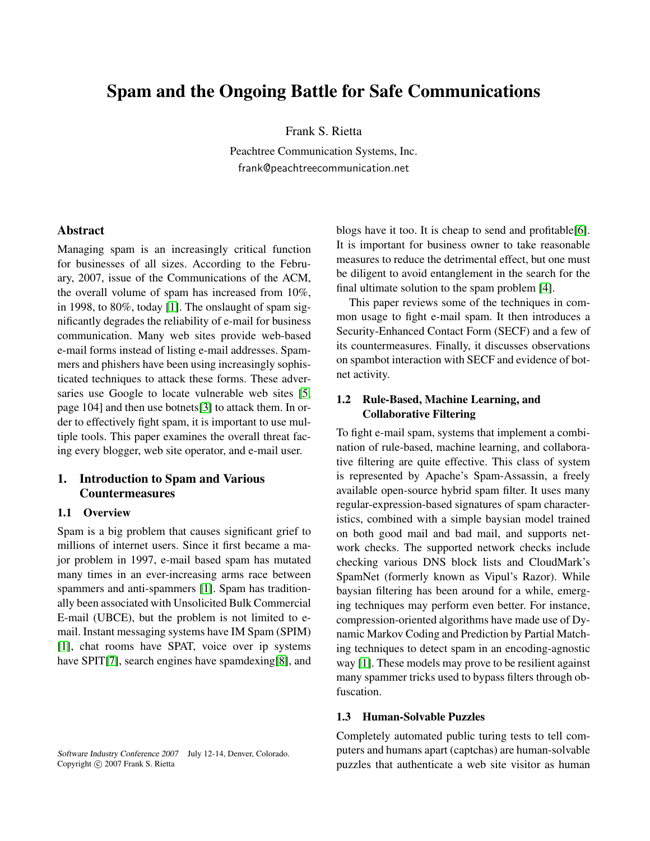# Spam and the Ongoing Battle for Safe Communications

Frank S. Rietta

Peachtree Communication Systems, Inc. frank@peachtreecommunication.net

## Abstract

Managing spam is an increasingly critical function for businesses of all sizes. According to the February, 2007, issue of the Communications of the ACM, the overall volume of spam has increased from 10%, in 1998, to 80%, today [\[1\]](#page-3-0). The onslaught of spam significantly degrades the reliability of e-mail for business communication. Many web sites provide web-based e-mail forms instead of listing e-mail addresses. Spammers and phishers have been using increasingly sophisticated techniques to attack these forms. These adver-saries use Google to locate vulnerable web sites [\[5,](#page-3-1) page 104] and then use botnets[\[3\]](#page-3-2) to attack them. In order to effectively fight spam, it is important to use multiple tools. This paper examines the overall threat facing every blogger, web site operator, and e-mail user.

# 1. Introduction to Spam and Various **Countermeasures**

#### 1.1 Overview

Spam is a big problem that causes significant grief to millions of internet users. Since it first became a major problem in 1997, e-mail based spam has mutated many times in an ever-increasing arms race between spammers and anti-spammers [\[1\]](#page-3-0). Spam has traditionally been associated with Unsolicited Bulk Commercial E-mail (UBCE), but the problem is not limited to email. Instant messaging systems have IM Spam (SPIM) [\[1\]](#page-3-0), chat rooms have SPAT, voice over ip systems have SPIT[\[7\]](#page-3-3), search engines have spamdexing[\[8\]](#page-3-4), and

Software Industry Conference 2007 July 12-14, Denver, Colorado. Copyright © 2007 Frank S. Rietta

blogs have it too. It is cheap to send and profitable[\[6\]](#page-3-5). It is important for business owner to take reasonable measures to reduce the detrimental effect, but one must be diligent to avoid entanglement in the search for the final ultimate solution to the spam problem [\[4\]](#page-3-6).

This paper reviews some of the techniques in common usage to fight e-mail spam. It then introduces a Security-Enhanced Contact Form (SECF) and a few of its countermeasures. Finally, it discusses observations on spambot interaction with SECF and evidence of botnet activity.

## 1.2 Rule-Based, Machine Learning, and Collaborative Filtering

To fight e-mail spam, systems that implement a combination of rule-based, machine learning, and collaborative filtering are quite effective. This class of system is represented by Apache's Spam-Assassin, a freely available open-source hybrid spam filter. It uses many regular-expression-based signatures of spam characteristics, combined with a simple baysian model trained on both good mail and bad mail, and supports network checks. The supported network checks include checking various DNS block lists and CloudMark's SpamNet (formerly known as Vipul's Razor). While baysian filtering has been around for a while, emerging techniques may perform even better. For instance, compression-oriented algorithms have made use of Dynamic Markov Coding and Prediction by Partial Matching techniques to detect spam in an encoding-agnostic way [\[1\]](#page-3-0). These models may prove to be resilient against many spammer tricks used to bypass filters through obfuscation.

## 1.3 Human-Solvable Puzzles

Completely automated public turing tests to tell computers and humans apart (captchas) are human-solvable puzzles that authenticate a web site visitor as human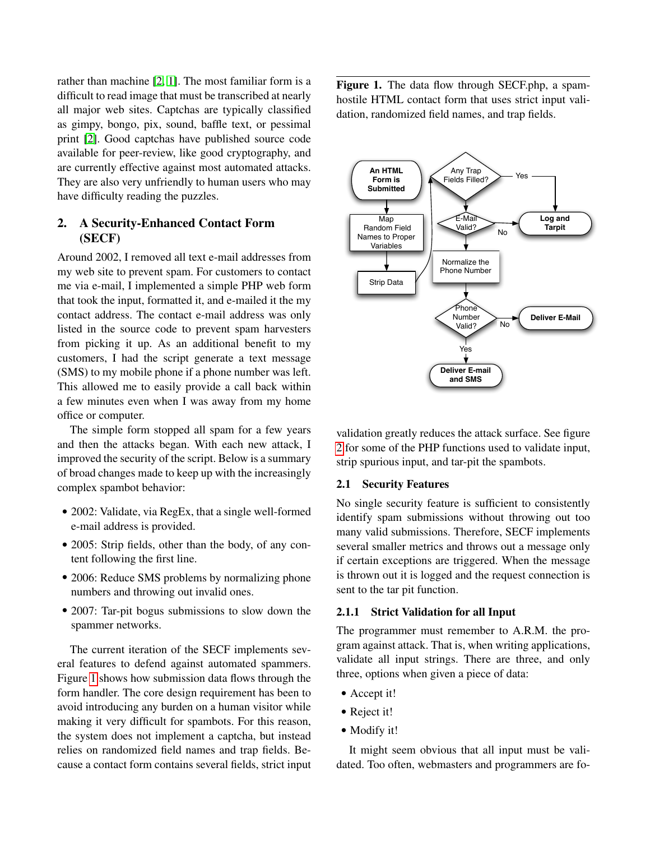rather than machine [\[2,](#page-3-7) [1\]](#page-3-0). The most familiar form is a difficult to read image that must be transcribed at nearly all major web sites. Captchas are typically classified as gimpy, bongo, pix, sound, baffle text, or pessimal print [\[2\]](#page-3-7). Good captchas have published source code available for peer-review, like good cryptography, and are currently effective against most automated attacks. They are also very unfriendly to human users who may have difficulty reading the puzzles.

## 2. A Security-Enhanced Contact Form (SECF)

Around 2002, I removed all text e-mail addresses from my web site to prevent spam. For customers to contact me via e-mail, I implemented a simple PHP web form that took the input, formatted it, and e-mailed it the my contact address. The contact e-mail address was only listed in the source code to prevent spam harvesters from picking it up. As an additional benefit to my customers, I had the script generate a text message (SMS) to my mobile phone if a phone number was left. This allowed me to easily provide a call back within a few minutes even when I was away from my home office or computer.

The simple form stopped all spam for a few years and then the attacks began. With each new attack, I improved the security of the script. Below is a summary of broad changes made to keep up with the increasingly complex spambot behavior:

- 2002: Validate, via RegEx, that a single well-formed e-mail address is provided.
- 2005: Strip fields, other than the body, of any content following the first line.
- 2006: Reduce SMS problems by normalizing phone numbers and throwing out invalid ones.
- 2007: Tar-pit bogus submissions to slow down the spammer networks.

The current iteration of the SECF implements several features to defend against automated spammers. Figure [1](#page-1-0) shows how submission data flows through the form handler. The core design requirement has been to avoid introducing any burden on a human visitor while making it very difficult for spambots. For this reason, the system does not implement a captcha, but instead relies on randomized field names and trap fields. Because a contact form contains several fields, strict input <span id="page-1-0"></span>Figure 1. The data flow through SECF.php, a spamhostile HTML contact form that uses strict input validation, randomized field names, and trap fields.



validation greatly reduces the attack surface. See figure [2](#page-2-0) for some of the PHP functions used to validate input, strip spurious input, and tar-pit the spambots.

## 2.1 Security Features

No single security feature is sufficient to consistently identify spam submissions without throwing out too many valid submissions. Therefore, SECF implements several smaller metrics and throws out a message only if certain exceptions are triggered. When the message is thrown out it is logged and the request connection is sent to the tar pit function.

## 2.1.1 Strict Validation for all Input

The programmer must remember to A.R.M. the program against attack. That is, when writing applications, validate all input strings. There are three, and only three, options when given a piece of data:

- Accept it!
- Reject it!
- Modify it!

It might seem obvious that all input must be validated. Too often, webmasters and programmers are fo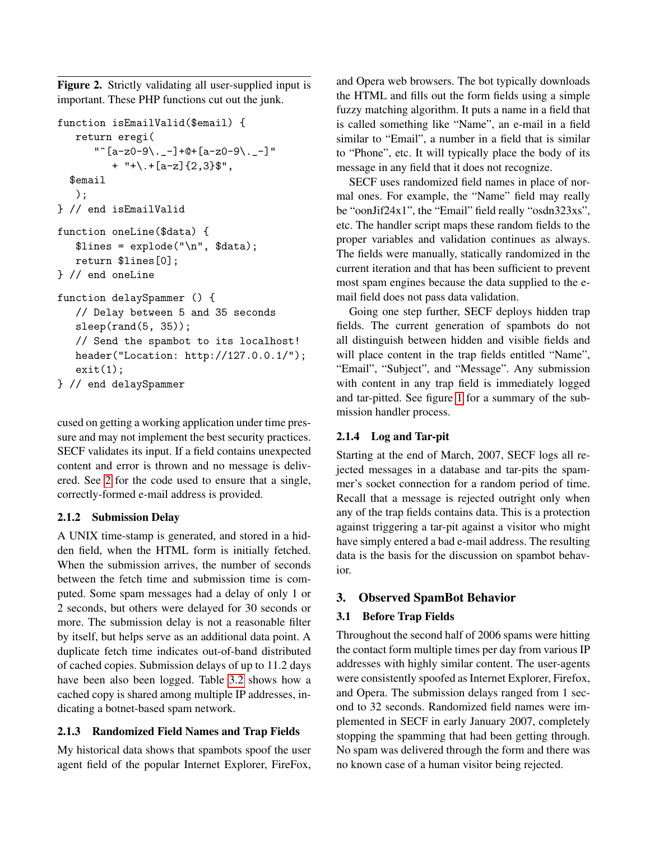<span id="page-2-0"></span>Figure 2. Strictly validating all user-supplied input is important. These PHP functions cut out the junk.

```
function isEmailValid($email) {
   return eregi(
      " \hat{[a-z0-9\ldots -]} + \mathbb{Q} + [a-z0-9\ldots -]"
         + "+\.+[a-z]{2,3}$",
  $email
   );
} // end isEmailValid
function oneLine($data) {
   $lines = explode("\n", $data);
   return $lines[0];
} // end oneLine
function delaySpammer () {
   // Delay between 5 and 35 seconds
   sleep(rand(5, 35));
   // Send the spambot to its localhost!
   header("Location: http://127.0.0.1/");
   exit(1):} // end delaySpammer
```
cused on getting a working application under time pressure and may not implement the best security practices. SECF validates its input. If a field contains unexpected content and error is thrown and no message is delivered. See [2](#page-2-0) for the code used to ensure that a single, correctly-formed e-mail address is provided.

## 2.1.2 Submission Delay

A UNIX time-stamp is generated, and stored in a hidden field, when the HTML form is initially fetched. When the submission arrives, the number of seconds between the fetch time and submission time is computed. Some spam messages had a delay of only 1 or 2 seconds, but others were delayed for 30 seconds or more. The submission delay is not a reasonable filter by itself, but helps serve as an additional data point. A duplicate fetch time indicates out-of-band distributed of cached copies. Submission delays of up to 11.2 days have been also been logged. Table [3.2](#page-3-8) shows how a cached copy is shared among multiple IP addresses, indicating a botnet-based spam network.

## 2.1.3 Randomized Field Names and Trap Fields

My historical data shows that spambots spoof the user agent field of the popular Internet Explorer, FireFox, and Opera web browsers. The bot typically downloads the HTML and fills out the form fields using a simple fuzzy matching algorithm. It puts a name in a field that is called something like "Name", an e-mail in a field similar to "Email", a number in a field that is similar to "Phone", etc. It will typically place the body of its message in any field that it does not recognize.

SECF uses randomized field names in place of normal ones. For example, the "Name" field may really be "oonJif24x1", the "Email" field really "osdn323xs", etc. The handler script maps these random fields to the proper variables and validation continues as always. The fields were manually, statically randomized in the current iteration and that has been sufficient to prevent most spam engines because the data supplied to the email field does not pass data validation.

Going one step further, SECF deploys hidden trap fields. The current generation of spambots do not all distinguish between hidden and visible fields and will place content in the trap fields entitled "Name", "Email", "Subject", and "Message". Any submission with content in any trap field is immediately logged and tar-pitted. See figure [1](#page-1-0) for a summary of the submission handler process.

# 2.1.4 Log and Tar-pit

Starting at the end of March, 2007, SECF logs all rejected messages in a database and tar-pits the spammer's socket connection for a random period of time. Recall that a message is rejected outright only when any of the trap fields contains data. This is a protection against triggering a tar-pit against a visitor who might have simply entered a bad e-mail address. The resulting data is the basis for the discussion on spambot behavior.

# 3. Observed SpamBot Behavior

# 3.1 Before Trap Fields

Throughout the second half of 2006 spams were hitting the contact form multiple times per day from various IP addresses with highly similar content. The user-agents were consistently spoofed as Internet Explorer, Firefox, and Opera. The submission delays ranged from 1 second to 32 seconds. Randomized field names were implemented in SECF in early January 2007, completely stopping the spamming that had been getting through. No spam was delivered through the form and there was no known case of a human visitor being rejected.